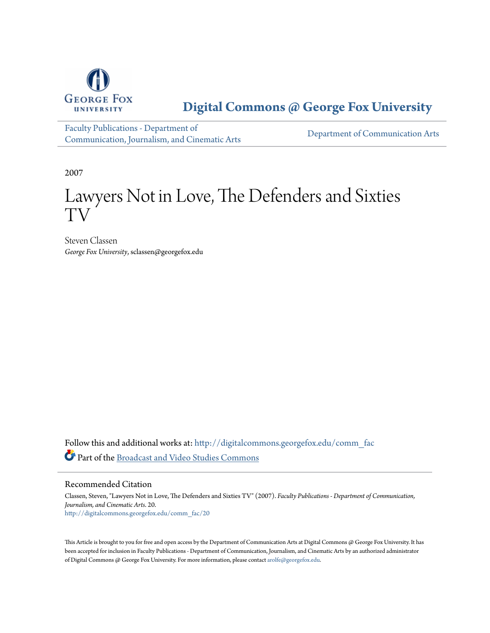

**[Digital Commons @ George Fox University](http://digitalcommons.georgefox.edu?utm_source=digitalcommons.georgefox.edu%2Fcomm_fac%2F20&utm_medium=PDF&utm_campaign=PDFCoverPages)**

[Faculty Publications - Department of](http://digitalcommons.georgefox.edu/comm_fac?utm_source=digitalcommons.georgefox.edu%2Fcomm_fac%2F20&utm_medium=PDF&utm_campaign=PDFCoverPages) [Communication, Journalism, and Cinematic Arts](http://digitalcommons.georgefox.edu/comm_fac?utm_source=digitalcommons.georgefox.edu%2Fcomm_fac%2F20&utm_medium=PDF&utm_campaign=PDFCoverPages)

[Department of Communication Arts](http://digitalcommons.georgefox.edu/comm?utm_source=digitalcommons.georgefox.edu%2Fcomm_fac%2F20&utm_medium=PDF&utm_campaign=PDFCoverPages)

2007

## Lawyers Not in Love, The Defenders and Sixties TV

Steven Classen *George Fox University*, sclassen@georgefox.edu

Follow this and additional works at: [http://digitalcommons.georgefox.edu/comm\\_fac](http://digitalcommons.georgefox.edu/comm_fac?utm_source=digitalcommons.georgefox.edu%2Fcomm_fac%2F20&utm_medium=PDF&utm_campaign=PDFCoverPages) Part of the [Broadcast and Video Studies Commons](http://network.bepress.com/hgg/discipline/326?utm_source=digitalcommons.georgefox.edu%2Fcomm_fac%2F20&utm_medium=PDF&utm_campaign=PDFCoverPages)

Recommended Citation

Classen, Steven, "Lawyers Not in Love, The Defenders and Sixties TV" (2007). *Faculty Publications - Department of Communication, Journalism, and Cinematic Arts*. 20. [http://digitalcommons.georgefox.edu/comm\\_fac/20](http://digitalcommons.georgefox.edu/comm_fac/20?utm_source=digitalcommons.georgefox.edu%2Fcomm_fac%2F20&utm_medium=PDF&utm_campaign=PDFCoverPages)

This Article is brought to you for free and open access by the Department of Communication Arts at Digital Commons @ George Fox University. It has been accepted for inclusion in Faculty Publications - Department of Communication, Journalism, and Cinematic Arts by an authorized administrator of Digital Commons @ George Fox University. For more information, please contact [arolfe@georgefox.edu.](mailto:arolfe@georgefox.edu)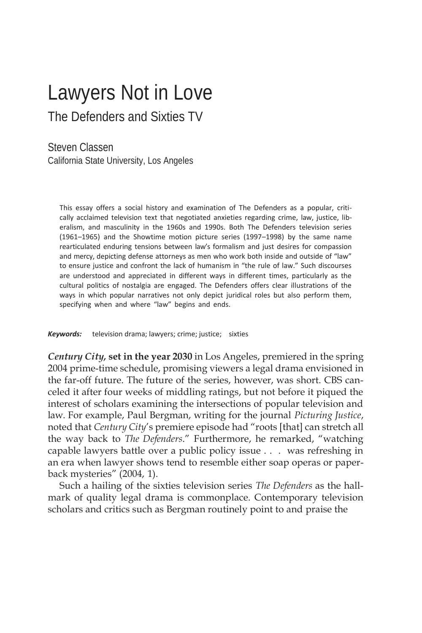# Lawyers Not in Love

### The Defenders and Sixties TV

#### Steven Classen

California State University, Los Angeles

This essay offers a social history and examination of The Defenders as a popular, critically acclaimed television text that negotiated anxieties regarding crime, law, justice, liberalism, and masculinity in the 1960s and 1990s. Both The Defenders television series (1961–1965) and the Showtime motion picture series (1997–1998) by the same name rearticulated enduring tensions between law's formalism and just desires for compassion and mercy, depicting defense attorneys as men who work both inside and outside of "law" to ensure justice and confront the lack of humanism in "the rule of law." Such discourses are understood and appreciated in different ways in different times, particularly as the cultural politics of nostalgia are engaged. The Defenders offers clear illustrations of the ways in which popular narratives not only depict juridical roles but also perform them, specifying when and where "law" begins and ends.

*Keywords:* television drama; lawyers; crime; justice; sixties

*Century City,* **set in the year 2030** in Los Angeles, premiered in the spring 2004 prime-time schedule, promising viewers a legal drama envisioned in the far-off future. The future of the series, however, was short. CBS canceled it after four weeks of middling ratings, but not before it piqued the interest of scholars examining the intersections of popular television and law. For example, Paul Bergman, writing for the journal *Picturing Justice*, noted that *Century City*'s premiere episode had "roots [that] can stretch all the way back to *The Defenders*." Furthermore, he remarked, "watching capable lawyers battle over a public policy issue . . . was refreshing in an era when lawyer shows tend to resemble either soap operas or paperback mysteries" (2004, 1).

Such a hailing of the sixties television series *The Defenders* as the hallmark of quality legal drama is commonplace. Contemporary television scholars and critics such as Bergman routinely point to and praise the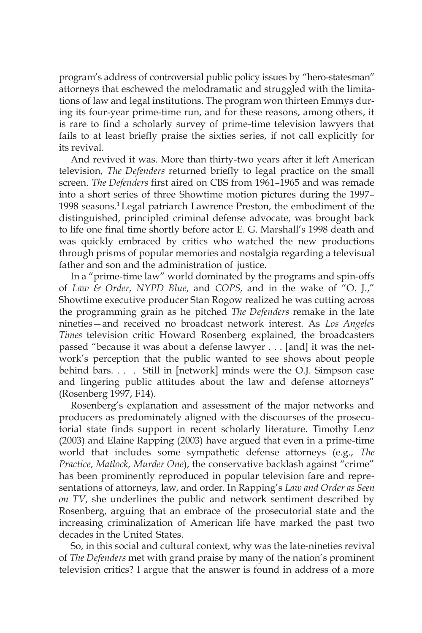program's address of controversial public policy issues by "hero-statesman" attorneys that eschewed the melodramatic and struggled with the limitations of law and legal institutions. The program won thirteen Emmys during its four-year prime-time run, and for these reasons, among others, it is rare to find a scholarly survey of prime-time television lawyers that fails to at least briefly praise the sixties series, if not call explicitly for its revival.

And revived it was. More than thirty-two years after it left American television, *The Defenders* returned briefly to legal practice on the small screen. *The Defenders* first aired on CBS from 1961–1965 and was remade into a short series of three Showtime motion pictures during the 1997– 1998 seasons.<sup>1</sup>Legal patriarch Lawrence Preston, the embodiment of the distinguished, principled criminal defense advocate, was brought back to life one final time shortly before actor E. G. Marshall's 1998 death and was quickly embraced by critics who watched the new productions through prisms of popular memories and nostalgia regarding a televisual father and son and the administration of justice.

In a "prime-time law" world dominated by the programs and spin-offs of *Law & Order*, *NYPD Blue*, and *COPS,* and in the wake of "O. J.," Showtime executive producer Stan Rogow realized he was cutting across the programming grain as he pitched *The Defenders* remake in the late nineties—and received no broadcast network interest. As *Los Angeles Times* television critic Howard Rosenberg explained, the broadcasters passed "because it was about a defense lawyer . . . [and] it was the network's perception that the public wanted to see shows about people behind bars. . . . Still in [network] minds were the O.J. Simpson case and lingering public attitudes about the law and defense attorneys" (Rosenberg 1997, F14).

Rosenberg's explanation and assessment of the major networks and producers as predominately aligned with the discourses of the prosecutorial state finds support in recent scholarly literature. Timothy Lenz (2003) and Elaine Rapping (2003) have argued that even in a prime-time world that includes some sympathetic defense attorneys (e.g., *The Practice*, *Matlock*, *Murder One*), the conservative backlash against "crime" has been prominently reproduced in popular television fare and representations of attorneys, law, and order. In Rapping's *Law and Order as Seen on TV*, she underlines the public and network sentiment described by Rosenberg, arguing that an embrace of the prosecutorial state and the increasing criminalization of American life have marked the past two decades in the United States.

So, in this social and cultural context, why was the late-nineties revival of *The Defenders* met with grand praise by many of the nation's prominent television critics? I argue that the answer is found in address of a more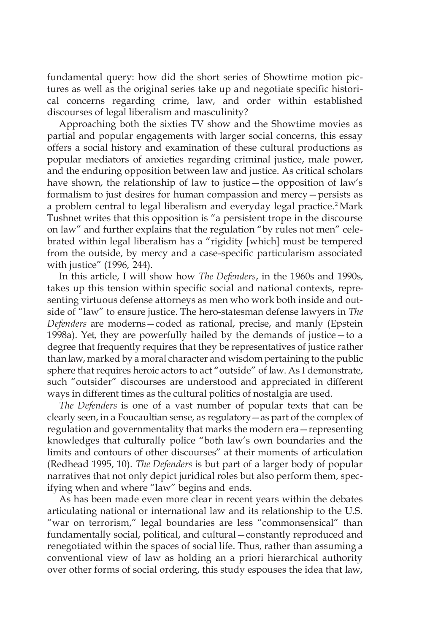fundamental query: how did the short series of Showtime motion pictures as well as the original series take up and negotiate specific historical concerns regarding crime, law, and order within established discourses of legal liberalism and masculinity?

Approaching both the sixties TV show and the Showtime movies as partial and popular engagements with larger social concerns, this essay offers a social history and examination of these cultural productions as popular mediators of anxieties regarding criminal justice, male power, and the enduring opposition between law and justice. As critical scholars have shown, the relationship of law to justice—the opposition of law's formalism to just desires for human compassion and mercy—persists as a problem central to legal liberalism and everyday legal practice.<sup>2</sup>Mark Tushnet writes that this opposition is "a persistent trope in the discourse on law" and further explains that the regulation "by rules not men" celebrated within legal liberalism has a "rigidity [which] must be tempered from the outside, by mercy and a case-specific particularism associated with justice" (1996, 244).

In this article, I will show how *The Defenders*, in the 1960s and 1990s, takes up this tension within specific social and national contexts, representing virtuous defense attorneys as men who work both inside and outside of "law" to ensure justice. The hero-statesman defense lawyers in *The Defenders* are moderns—coded as rational, precise, and manly (Epstein 1998a). Yet, they are powerfully hailed by the demands of justice—to a degree that frequently requires that they be representatives of justice rather than law, marked by a moral character and wisdom pertaining to the public sphere that requires heroic actors to act "outside" of law. As I demonstrate, such "outsider" discourses are understood and appreciated in different ways in different times as the cultural politics of nostalgia are used.

*The Defenders* is one of a vast number of popular texts that can be clearly seen, in a Foucaultian sense, as regulatory—as part of the complex of regulation and governmentality that marks the modern era—representing knowledges that culturally police "both law's own boundaries and the limits and contours of other discourses" at their moments of articulation (Redhead 1995, 10). *The Defenders* is but part of a larger body of popular narratives that not only depict juridical roles but also perform them, specifying when and where "law" begins and ends.

As has been made even more clear in recent years within the debates articulating national or international law and its relationship to the U.S. "war on terrorism," legal boundaries are less "commonsensical" than fundamentally social, political, and cultural—constantly reproduced and renegotiated within the spaces of social life. Thus, rather than assuming a conventional view of law as holding an a priori hierarchical authority over other forms of social ordering, this study espouses the idea that law,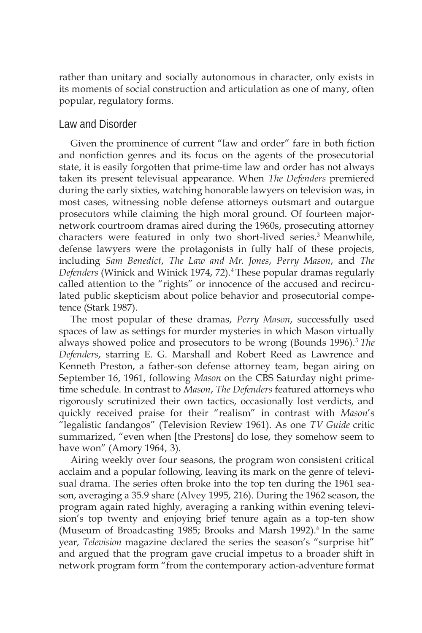rather than unitary and socially autonomous in character, only exists in its moments of social construction and articulation as one of many, often popular, regulatory forms.

#### Law and Disorder

Given the prominence of current "law and order" fare in both fiction and nonfiction genres and its focus on the agents of the prosecutorial state, it is easily forgotten that prime-time law and order has not always taken its present televisual appearance. When *The Defenders* premiered during the early sixties, watching honorable lawyers on television was, in most cases, witnessing noble defense attorneys outsmart and outargue prosecutors while claiming the high moral ground. Of fourteen majornetwork courtroom dramas aired during the 1960s, prosecuting attorney characters were featured in only two short-lived series.<sup>3</sup> Meanwhile, defense lawyers were the protagonists in fully half of these projects, including *Sam Benedict*, *The Law and Mr. Jones*, *Perry Mason*, and *The Defenders* (Winick and Winick 1974, 72).<sup>4</sup>These popular dramas regularly called attention to the "rights" or innocence of the accused and recirculated public skepticism about police behavior and prosecutorial competence (Stark 1987).

The most popular of these dramas, *Perry Mason*, successfully used spaces of law as settings for murder mysteries in which Mason virtually always showed police and prosecutors to be wrong (Bounds 1996).<sup>5</sup> The *Defenders*, starring E. G. Marshall and Robert Reed as Lawrence and Kenneth Preston, a father-son defense attorney team, began airing on September 16, 1961, following *Mason* on the CBS Saturday night primetime schedule. In contrast to *Mason*, *The Defenders* featured attorneys who rigorously scrutinized their own tactics, occasionally lost verdicts, and quickly received praise for their "realism" in contrast with *Mason*'s "legalistic fandangos" (Television Review 1961). As one *TV Guide* critic summarized, "even when [the Prestons] do lose, they somehow seem to have won" (Amory 1964, 3).

Airing weekly over four seasons, the program won consistent critical acclaim and a popular following, leaving its mark on the genre of televisual drama. The series often broke into the top ten during the 1961 season, averaging a 35.9 share (Alvey 1995, 216). During the 1962 season, the program again rated highly, averaging a ranking within evening television's top twenty and enjoying brief tenure again as a top-ten show (Museum of Broadcasting 1985; Brooks and Marsh 1992).<sup>6</sup> In the same year, *Television* magazine declared the series the season's "surprise hit" and argued that the program gave crucial impetus to a broader shift in network program form "from the contemporary action-adventure format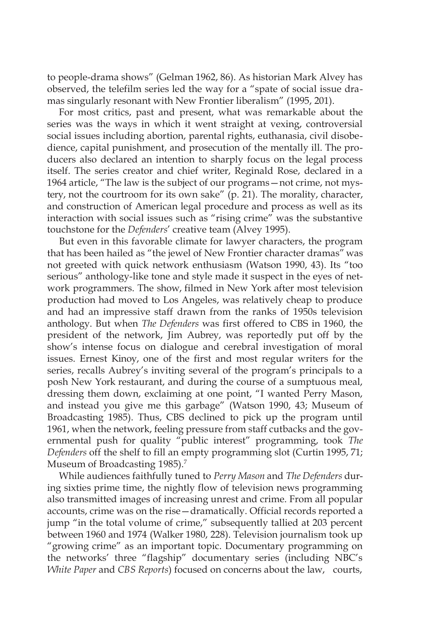to people-drama shows" (Gelman 1962, 86). As historian Mark Alvey has observed, the telefilm series led the way for a "spate of social issue dramas singularly resonant with New Frontier liberalism" (1995, 201).

For most critics, past and present, what was remarkable about the series was the ways in which it went straight at vexing, controversial social issues including abortion, parental rights, euthanasia, civil disobedience, capital punishment, and prosecution of the mentally ill. The producers also declared an intention to sharply focus on the legal process itself. The series creator and chief writer, Reginald Rose, declared in a 1964 article, "The law is the subject of our programs—not crime, not mystery, not the courtroom for its own sake" (p. 21). The morality, character, and construction of American legal procedure and process as well as its interaction with social issues such as "rising crime" was the substantive touchstone for the *Defenders*' creative team (Alvey 1995).

But even in this favorable climate for lawyer characters, the program that has been hailed as "the jewel of New Frontier character dramas" was not greeted with quick network enthusiasm (Watson 1990, 43). Its "too serious" anthology-like tone and style made it suspect in the eyes of network programmers. The show, filmed in New York after most television production had moved to Los Angeles, was relatively cheap to produce and had an impressive staff drawn from the ranks of 1950s television anthology. But when *The Defenders* was first offered to CBS in 1960, the president of the network, Jim Aubrey, was reportedly put off by the show's intense focus on dialogue and cerebral investigation of moral issues. Ernest Kinoy, one of the first and most regular writers for the series, recalls Aubrey's inviting several of the program's principals to a posh New York restaurant, and during the course of a sumptuous meal, dressing them down, exclaiming at one point, "I wanted Perry Mason, and instead you give me this garbage" (Watson 1990, 43; Museum of Broadcasting 1985). Thus, CBS declined to pick up the program until 1961, when the network, feeling pressure from staff cutbacks and the governmental push for quality "public interest" programming, took *The Defenders* off the shelf to fill an empty programming slot (Curtin 1995, 71; Museum of Broadcasting 1985).<sup>7</sup>

While audiences faithfully tuned to *Perry Mason* and *The Defenders* during sixties prime time, the nightly flow of television news programming also transmitted images of increasing unrest and crime. From all popular accounts, crime was on the rise—dramatically. Official records reported a jump "in the total volume of crime," subsequently tallied at 203 percent between 1960 and 1974 (Walker 1980, 228). Television journalism took up "growing crime" as an important topic. Documentary programming on the networks' three "flagship" documentary series (including NBC's *White Paper* and *CBS Reports*) focused on concerns about the law, courts,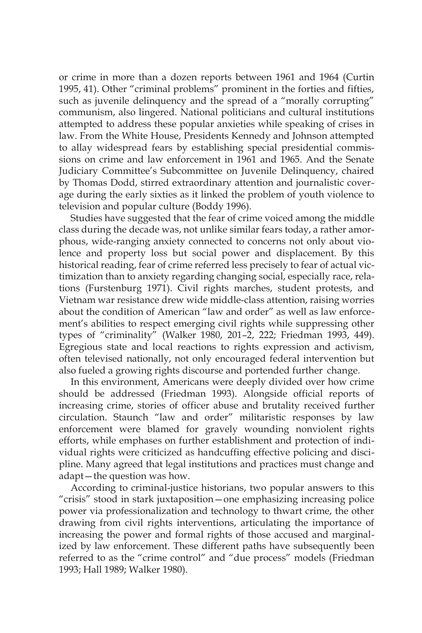or crime in more than a dozen reports between 1961 and 1964 (Curtin 1995, 41). Other "criminal problems" prominent in the forties and fifties, such as juvenile delinquency and the spread of a "morally corrupting" communism, also lingered. National politicians and cultural institutions attempted to address these popular anxieties while speaking of crises in law. From the White House, Presidents Kennedy and Johnson attempted to allay widespread fears by establishing special presidential commissions on crime and law enforcement in 1961 and 1965. And the Senate Judiciary Committee's Subcommittee on Juvenile Delinquency, chaired by Thomas Dodd, stirred extraordinary attention and journalistic coverage during the early sixties as it linked the problem of youth violence to television and popular culture (Boddy 1996).

Studies have suggested that the fear of crime voiced among the middle class during the decade was, not unlike similar fears today, a rather amorphous, wide-ranging anxiety connected to concerns not only about violence and property loss but social power and displacement. By this historical reading, fear of crime referred less precisely to fear of actual victimization than to anxiety regarding changing social, especially race, relations (Furstenburg 1971). Civil rights marches, student protests, and Vietnam war resistance drew wide middle-class attention, raising worries about the condition of American "law and order" as well as law enforcement's abilities to respect emerging civil rights while suppressing other types of "criminality" (Walker 1980, 201–2, 222; Friedman 1993, 449). Egregious state and local reactions to rights expression and activism, often televised nationally, not only encouraged federal intervention but also fueled a growing rights discourse and portended further change.

In this environment, Americans were deeply divided over how crime should be addressed (Friedman 1993). Alongside official reports of increasing crime, stories of officer abuse and brutality received further circulation. Staunch "law and order" militaristic responses by law enforcement were blamed for gravely wounding nonviolent rights efforts, while emphases on further establishment and protection of individual rights were criticized as handcuffing effective policing and discipline. Many agreed that legal institutions and practices must change and adapt—the question was how.

According to criminal-justice historians, two popular answers to this "crisis" stood in stark juxtaposition—one emphasizing increasing police power via professionalization and technology to thwart crime, the other drawing from civil rights interventions, articulating the importance of increasing the power and formal rights of those accused and marginalized by law enforcement. These different paths have subsequently been referred to as the "crime control" and "due process" models (Friedman 1993; Hall 1989; Walker 1980).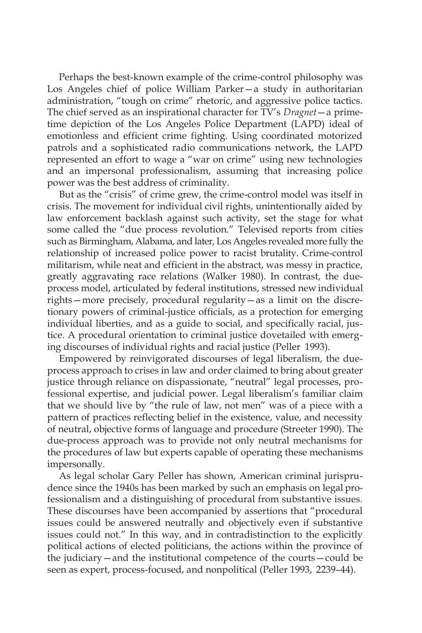Perhaps the best-known example of the crime-control philosophy was Los Angeles chief of police William Parker—a study in authoritarian administration, "tough on crime" rhetoric, and aggressive police tactics. The chief served as an inspirational character for TV's *Dragnet*—a primetime depiction of the Los Angeles Police Department (LAPD) ideal of emotionless and efficient crime fighting. Using coordinated motorized patrols and a sophisticated radio communications network, the LAPD represented an effort to wage a "war on crime" using new technologies and an impersonal professionalism, assuming that increasing police power was the best address of criminality.

But as the "crisis" of crime grew, the crime-control model was itself in crisis. The movement for individual civil rights, unintentionally aided by law enforcement backlash against such activity, set the stage for what some called the "due process revolution." Televised reports from cities such as Birmingham, Alabama, and later, Los Angeles revealed more fully the relationship of increased police power to racist brutality. Crime-control militarism, while neat and efficient in the abstract, was messy in practice, greatly aggravating race relations (Walker 1980). In contrast, the dueprocess model, articulated by federal institutions, stressed new individual rights—more precisely, procedural regularity—as a limit on the discretionary powers of criminal-justice officials, as a protection for emerging individual liberties, and as a guide to social, and specifically racial, justice. A procedural orientation to criminal justice dovetailed with emerging discourses of individual rights and racial justice (Peller 1993).

Empowered by reinvigorated discourses of legal liberalism, the dueprocess approach to crises in law and order claimed to bring about greater justice through reliance on dispassionate, "neutral" legal processes, professional expertise, and judicial power. Legal liberalism's familiar claim that we should live by "the rule of law, not men" was of a piece with a pattern of practices reflecting belief in the existence, value, and necessity of neutral, objective forms of language and procedure (Streeter 1990). The due-process approach was to provide not only neutral mechanisms for the procedures of law but experts capable of operating these mechanisms impersonally.

As legal scholar Gary Peller has shown, American criminal jurisprudence since the 1940s has been marked by such an emphasis on legal professionalism and a distinguishing of procedural from substantive issues. These discourses have been accompanied by assertions that "procedural issues could be answered neutrally and objectively even if substantive issues could not." In this way, and in contradistinction to the explicitly political actions of elected politicians, the actions within the province of the judiciary—and the institutional competence of the courts—could be seen as expert, process-focused, and nonpolitical (Peller 1993, 2239–44).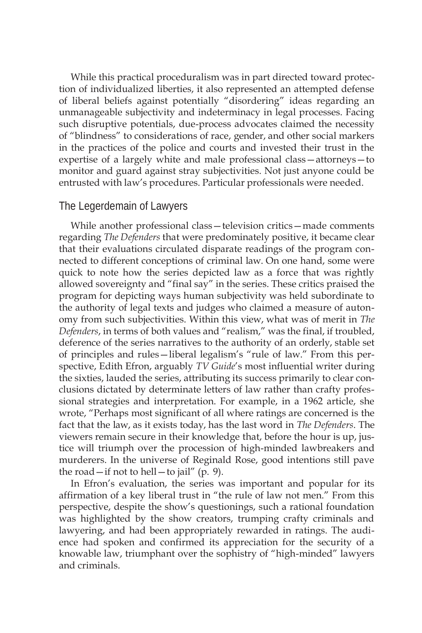While this practical proceduralism was in part directed toward protection of individualized liberties, it also represented an attempted defense of liberal beliefs against potentially "disordering" ideas regarding an unmanageable subjectivity and indeterminacy in legal processes. Facing such disruptive potentials, due-process advocates claimed the necessity of "blindness" to considerations of race, gender, and other social markers in the practices of the police and courts and invested their trust in the expertise of a largely white and male professional class—attorneys—to monitor and guard against stray subjectivities. Not just anyone could be entrusted with law's procedures. Particular professionals were needed.

#### The Legerdemain of Lawyers

While another professional class—television critics—made comments regarding *The Defenders* that were predominately positive, it became clear that their evaluations circulated disparate readings of the program connected to different conceptions of criminal law. On one hand, some were quick to note how the series depicted law as a force that was rightly allowed sovereignty and "final say" in the series. These critics praised the program for depicting ways human subjectivity was held subordinate to the authority of legal texts and judges who claimed a measure of autonomy from such subjectivities. Within this view, what was of merit in *The Defenders*, in terms of both values and "realism," was the final, if troubled, deference of the series narratives to the authority of an orderly, stable set of principles and rules—liberal legalism's "rule of law." From this perspective, Edith Efron, arguably *TV Guide*'s most influential writer during the sixties, lauded the series, attributing its success primarily to clear conclusions dictated by determinate letters of law rather than crafty professional strategies and interpretation. For example, in a 1962 article, she wrote, "Perhaps most significant of all where ratings are concerned is the fact that the law, as it exists today, has the last word in *The Defenders*. The viewers remain secure in their knowledge that, before the hour is up, justice will triumph over the procession of high-minded lawbreakers and murderers. In the universe of Reginald Rose, good intentions still pave the road  $-$  if not to hell  $-$  to jail" (p. 9).

In Efron's evaluation, the series was important and popular for its affirmation of a key liberal trust in "the rule of law not men." From this perspective, despite the show's questionings, such a rational foundation was highlighted by the show creators, trumping crafty criminals and lawyering, and had been appropriately rewarded in ratings. The audience had spoken and confirmed its appreciation for the security of a knowable law, triumphant over the sophistry of "high-minded" lawyers and criminals.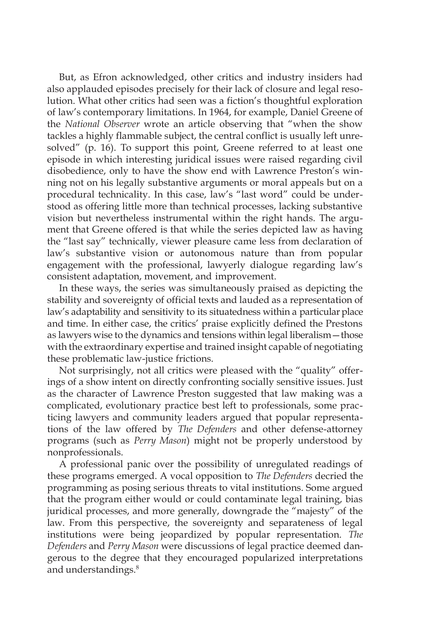But, as Efron acknowledged, other critics and industry insiders had also applauded episodes precisely for their lack of closure and legal resolution. What other critics had seen was a fiction's thoughtful exploration of law's contemporary limitations. In 1964, for example, Daniel Greene of the *National Observer* wrote an article observing that "when the show tackles a highly flammable subject, the central conflict is usually left unresolved" (p. 16). To support this point, Greene referred to at least one episode in which interesting juridical issues were raised regarding civil disobedience, only to have the show end with Lawrence Preston's winning not on his legally substantive arguments or moral appeals but on a procedural technicality. In this case, law's "last word" could be understood as offering little more than technical processes, lacking substantive vision but nevertheless instrumental within the right hands. The argument that Greene offered is that while the series depicted law as having the "last say" technically, viewer pleasure came less from declaration of law's substantive vision or autonomous nature than from popular engagement with the professional, lawyerly dialogue regarding law's consistent adaptation, movement, and improvement.

In these ways, the series was simultaneously praised as depicting the stability and sovereignty of official texts and lauded as a representation of law's adaptability and sensitivity to its situatedness within a particular place and time. In either case, the critics' praise explicitly defined the Prestons as lawyers wise to the dynamics and tensions within legal liberalism—those with the extraordinary expertise and trained insight capable of negotiating these problematic law-justice frictions.

Not surprisingly, not all critics were pleased with the "quality" offerings of a show intent on directly confronting socially sensitive issues. Just as the character of Lawrence Preston suggested that law making was a complicated, evolutionary practice best left to professionals, some practicing lawyers and community leaders argued that popular representations of the law offered by *The Defenders* and other defense-attorney programs (such as *Perry Mason*) might not be properly understood by nonprofessionals.

A professional panic over the possibility of unregulated readings of these programs emerged. A vocal opposition to *The Defenders* decried the programming as posing serious threats to vital institutions. Some argued that the program either would or could contaminate legal training, bias juridical processes, and more generally, downgrade the "majesty" of the law. From this perspective, the sovereignty and separateness of legal institutions were being jeopardized by popular representation. *The Defenders* and *Perry Mason* were discussions of legal practice deemed dangerous to the degree that they encouraged popularized interpretations and understandings.<sup>8</sup>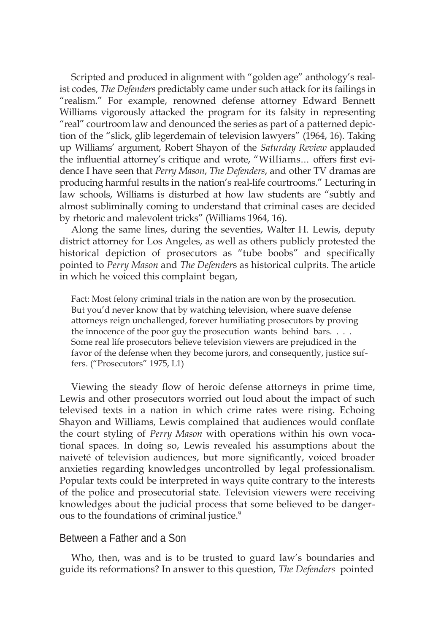Scripted and produced in alignment with "golden age" anthology's realist codes, *The Defenders* predictably came under such attack for its failings in "realism." For example, renowned defense attorney Edward Bennett Williams vigorously attacked the program for its falsity in representing "real" courtroom law and denounced the series as part of a patterned depiction of the "slick, glib legerdemain of television lawyers" (1964, 16). Taking up Williams' argument, Robert Shayon of the *Saturday Review* applauded the influential attorney's critique and wrote, "Williams... offers first evidence I have seen that *Perry Mason*, *The Defenders*, and other TV dramas are producing harmful results in the nation's real-life courtrooms." Lecturing in law schools, Williams is disturbed at how law students are "subtly and almost subliminally coming to understand that criminal cases are decided by rhetoric and malevolent tricks" (Williams 1964, 16).

Along the same lines, during the seventies, Walter H. Lewis, deputy district attorney for Los Angeles, as well as others publicly protested the historical depiction of prosecutors as "tube boobs" and specifically pointed to *Perry Mason* and *The Defender*s as historical culprits. The article in which he voiced this complaint began,

Fact: Most felony criminal trials in the nation are won by the prosecution. But you'd never know that by watching television, where suave defense attorneys reign unchallenged, forever humiliating prosecutors by proving the innocence of the poor guy the prosecution wants behind bars. . . . Some real life prosecutors believe television viewers are prejudiced in the favor of the defense when they become jurors, and consequently, justice suffers. ("Prosecutors" 1975, L1)

Viewing the steady flow of heroic defense attorneys in prime time, Lewis and other prosecutors worried out loud about the impact of such televised texts in a nation in which crime rates were rising. Echoing Shayon and Williams, Lewis complained that audiences would conflate the court styling of *Perry Mason* with operations within his own vocational spaces. In doing so, Lewis revealed his assumptions about the naiveté of television audiences, but more significantly, voiced broader anxieties regarding knowledges uncontrolled by legal professionalism. Popular texts could be interpreted in ways quite contrary to the interests of the police and prosecutorial state. Television viewers were receiving knowledges about the judicial process that some believed to be dangerous to the foundations of criminal justice.<sup>9</sup>

#### Between a Father and a Son

Who, then, was and is to be trusted to guard law's boundaries and guide its reformations? In answer to this question, *The Defenders* pointed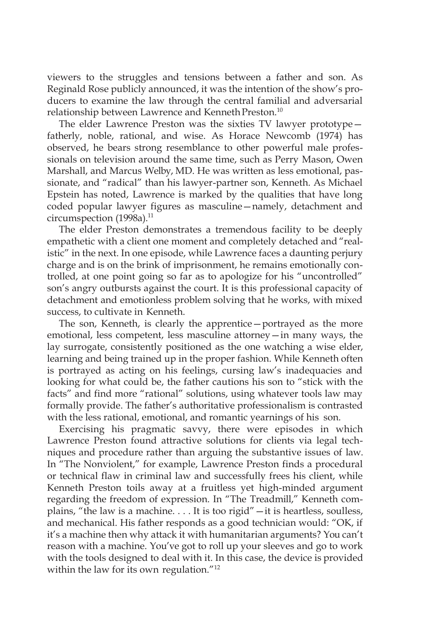viewers to the struggles and tensions between a father and son. As Reginald Rose publicly announced, it was the intention of the show's producers to examine the law through the central familial and adversarial relationship between Lawrence and Kenneth Preston.<sup>10</sup>

The elder Lawrence Preston was the sixties TV lawyer prototype fatherly, noble, rational, and wise. As Horace Newcomb (1974) has observed, he bears strong resemblance to other powerful male professionals on television around the same time, such as Perry Mason, Owen Marshall, and Marcus Welby, MD. He was written as less emotional, passionate, and "radical" than his lawyer-partner son, Kenneth. As Michael Epstein has noted, Lawrence is marked by the qualities that have long coded popular lawyer figures as masculine—namely, detachment and circumspection  $(1998a)^{11}$ 

The elder Preston demonstrates a tremendous facility to be deeply empathetic with a client one moment and completely detached and "realistic" in the next. In one episode, while Lawrence faces a daunting perjury charge and is on the brink of imprisonment, he remains emotionally controlled, at one point going so far as to apologize for his "uncontrolled" son's angry outbursts against the court. It is this professional capacity of detachment and emotionless problem solving that he works, with mixed success, to cultivate in Kenneth.

The son, Kenneth, is clearly the apprentice—portrayed as the more emotional, less competent, less masculine attorney—in many ways, the lay surrogate, consistently positioned as the one watching a wise elder, learning and being trained up in the proper fashion. While Kenneth often is portrayed as acting on his feelings, cursing law's inadequacies and looking for what could be, the father cautions his son to "stick with the facts" and find more "rational" solutions, using whatever tools law may formally provide. The father's authoritative professionalism is contrasted with the less rational, emotional, and romantic yearnings of his son.

Exercising his pragmatic savvy, there were episodes in which Lawrence Preston found attractive solutions for clients via legal techniques and procedure rather than arguing the substantive issues of law. In "The Nonviolent," for example, Lawrence Preston finds a procedural or technical flaw in criminal law and successfully frees his client, while Kenneth Preston toils away at a fruitless yet high-minded argument regarding the freedom of expression. In "The Treadmill," Kenneth complains, "the law is a machine. . . . It is too rigid"—it is heartless, soulless, and mechanical. His father responds as a good technician would: "OK, if it's a machine then why attack it with humanitarian arguments? You can't reason with a machine. You've got to roll up your sleeves and go to work with the tools designed to deal with it. In this case, the device is provided within the law for its own regulation."<sup>12</sup>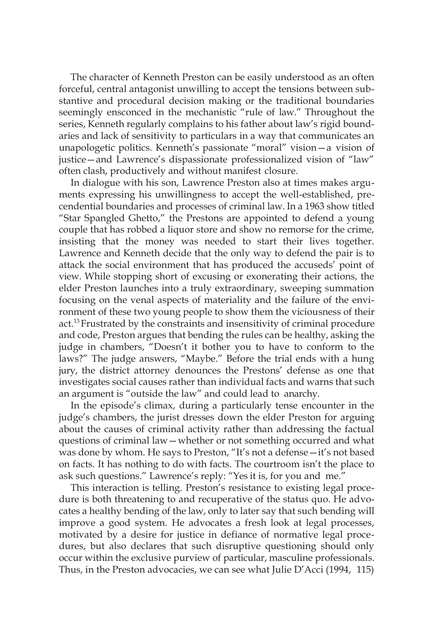The character of Kenneth Preston can be easily understood as an often forceful, central antagonist unwilling to accept the tensions between substantive and procedural decision making or the traditional boundaries seemingly ensconced in the mechanistic "rule of law." Throughout the series, Kenneth regularly complains to his father about law's rigid boundaries and lack of sensitivity to particulars in a way that communicates an unapologetic politics. Kenneth's passionate "moral" vision—a vision of justice—and Lawrence's dispassionate professionalized vision of "law" often clash, productively and without manifest closure.

In dialogue with his son, Lawrence Preston also at times makes arguments expressing his unwillingness to accept the well-established, precendential boundaries and processes of criminal law. In a 1963 show titled "Star Spangled Ghetto," the Prestons are appointed to defend a young couple that has robbed a liquor store and show no remorse for the crime, insisting that the money was needed to start their lives together. Lawrence and Kenneth decide that the only way to defend the pair is to attack the social environment that has produced the accuseds' point of view. While stopping short of excusing or exonerating their actions, the elder Preston launches into a truly extraordinary, sweeping summation focusing on the venal aspects of materiality and the failure of the environment of these two young people to show them the viciousness of their act.<sup>13</sup> Frustrated by the constraints and insensitivity of criminal procedure and code, Preston argues that bending the rules can be healthy, asking the judge in chambers, "Doesn't it bother you to have to conform to the laws?" The judge answers, "Maybe." Before the trial ends with a hung jury, the district attorney denounces the Prestons' defense as one that investigates social causes rather than individual facts and warns that such an argument is "outside the law" and could lead to anarchy.

In the episode's climax, during a particularly tense encounter in the judge's chambers, the jurist dresses down the elder Preston for arguing about the causes of criminal activity rather than addressing the factual questions of criminal law—whether or not something occurred and what was done by whom. He says to Preston, "It's not a defense—it's not based on facts. It has nothing to do with facts. The courtroom isn't the place to ask such questions." Lawrence's reply: "Yes it is, for you and me."

This interaction is telling. Preston's resistance to existing legal procedure is both threatening to and recuperative of the status quo. He advocates a healthy bending of the law, only to later say that such bending will improve a good system. He advocates a fresh look at legal processes, motivated by a desire for justice in defiance of normative legal procedures, but also declares that such disruptive questioning should only occur within the exclusive purview of particular, masculine professionals. Thus, in the Preston advocacies, we can see what Julie D'Acci (1994, 115)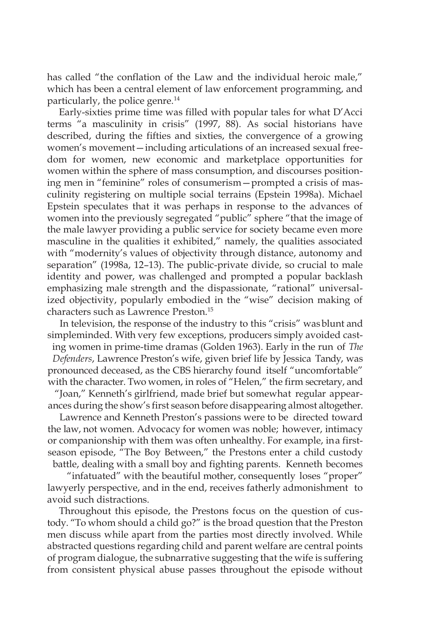has called "the conflation of the Law and the individual heroic male," which has been a central element of law enforcement programming, and particularly, the police genre.<sup>14</sup>

Early-sixties prime time was filled with popular tales for what D'Acci terms "a masculinity in crisis" (1997, 88). As social historians have described, during the fifties and sixties, the convergence of a growing women's movement—including articulations of an increased sexual freedom for women, new economic and marketplace opportunities for women within the sphere of mass consumption, and discourses positioning men in "feminine" roles of consumerism—prompted a crisis of masculinity registering on multiple social terrains (Epstein 1998a). Michael Epstein speculates that it was perhaps in response to the advances of women into the previously segregated "public" sphere "that the image of the male lawyer providing a public service for society became even more masculine in the qualities it exhibited," namely, the qualities associated with "modernity's values of objectivity through distance, autonomy and separation" (1998a, 12–13). The public-private divide, so crucial to male identity and power, was challenged and prompted a popular backlash emphasizing male strength and the dispassionate, "rational" universalized objectivity, popularly embodied in the "wise" decision making of characters such as Lawrence Preston.<sup>15</sup>

In television, the response of the industry to this "crisis" wasblunt and simpleminded. With very few exceptions, producers simply avoided casting women in prime-time dramas (Golden 1963). Early in the run of *The Defenders*, Lawrence Preston's wife, given brief life by Jessica Tandy, was pronounced deceased, as the CBS hierarchy found itself "uncomfortable" with the character. Two women, in roles of "Helen," the firm secretary, and

"Joan," Kenneth's girlfriend, made brief but somewhat regular appearances during the show's first season before disappearing almost altogether.

Lawrence and Kenneth Preston's passions were to be directed toward the law, not women. Advocacy for women was noble; however, intimacy or companionship with them was often unhealthy. For example, ina firstseason episode, "The Boy Between," the Prestons enter a child custody battle, dealing with a small boy and fighting parents. Kenneth becomes

"infatuated" with the beautiful mother, consequently loses "proper" lawyerly perspective, and in the end, receives fatherly admonishment to avoid such distractions.

Throughout this episode, the Prestons focus on the question of custody. "To whom should a child go?" is the broad question that the Preston men discuss while apart from the parties most directly involved. While abstracted questions regarding child and parent welfare are central points of program dialogue, the subnarrative suggesting that the wife is suffering from consistent physical abuse passes throughout the episode without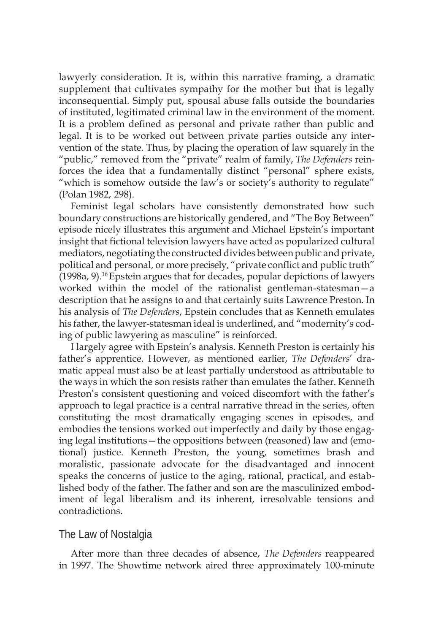lawyerly consideration. It is, within this narrative framing, a dramatic supplement that cultivates sympathy for the mother but that is legally inconsequential. Simply put, spousal abuse falls outside the boundaries of instituted, legitimated criminal law in the environment of the moment. It is a problem defined as personal and private rather than public and legal. It is to be worked out between private parties outside any intervention of the state. Thus, by placing the operation of law squarely in the "public," removed from the "private" realm of family, *The Defenders* reinforces the idea that a fundamentally distinct "personal" sphere exists, "which is somehow outside the law's or society's authority to regulate" (Polan 1982, 298).

Feminist legal scholars have consistently demonstrated how such boundary constructions are historically gendered, and "The Boy Between" episode nicely illustrates this argument and Michael Epstein's important insight that fictional television lawyers have acted as popularized cultural mediators, negotiating the constructed divides between public and private, political and personal, or more precisely, "private conflict and public truth"  $(1998a, 9).$ <sup>16</sup> Epstein argues that for decades, popular depictions of lawyers worked within the model of the rationalist gentleman-statesman—a description that he assigns to and that certainly suits Lawrence Preston. In his analysis of *The Defenders*, Epstein concludes that as Kenneth emulates his father, the lawyer-statesman ideal is underlined, and "modernity's coding of public lawyering as masculine" is reinforced.

I largely agree with Epstein's analysis. Kenneth Preston is certainly his father's apprentice. However, as mentioned earlier, *The Defenders*' dramatic appeal must also be at least partially understood as attributable to the ways in which the son resists rather than emulates the father. Kenneth Preston's consistent questioning and voiced discomfort with the father's approach to legal practice is a central narrative thread in the series, often constituting the most dramatically engaging scenes in episodes, and embodies the tensions worked out imperfectly and daily by those engaging legal institutions—the oppositions between (reasoned) law and (emotional) justice. Kenneth Preston, the young, sometimes brash and moralistic, passionate advocate for the disadvantaged and innocent speaks the concerns of justice to the aging, rational, practical, and established body of the father. The father and son are the masculinized embodiment of legal liberalism and its inherent, irresolvable tensions and contradictions.

#### The Law of Nostalgia

After more than three decades of absence, *The Defenders* reappeared in 1997. The Showtime network aired three approximately 100-minute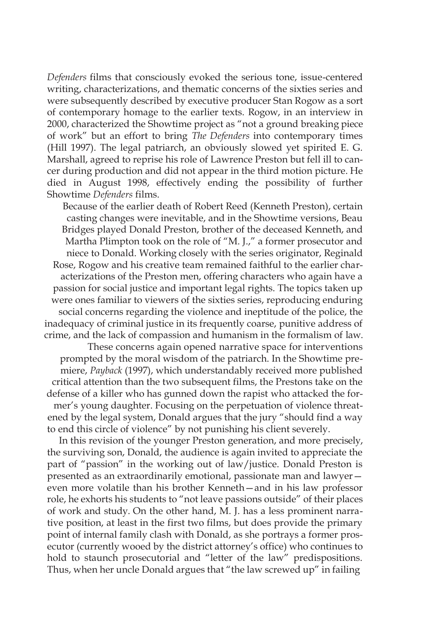*Defenders* films that consciously evoked the serious tone, issue-centered writing, characterizations, and thematic concerns of the sixties series and were subsequently described by executive producer Stan Rogow as a sort of contemporary homage to the earlier texts. Rogow, in an interview in 2000, characterized the Showtime project as "not a ground breaking piece of work" but an effort to bring *The Defenders* into contemporary times (Hill 1997). The legal patriarch, an obviously slowed yet spirited E. G. Marshall, agreed to reprise his role of Lawrence Preston but fell ill to cancer during production and did not appear in the third motion picture. He died in August 1998, effectively ending the possibility of further Showtime *Defenders* films.

Because of the earlier death of Robert Reed (Kenneth Preston), certain casting changes were inevitable, and in the Showtime versions, Beau Bridges played Donald Preston, brother of the deceased Kenneth, and Martha Plimpton took on the role of "M. J.," a former prosecutor and niece to Donald. Working closely with the series originator, Reginald Rose, Rogow and his creative team remained faithful to the earlier characterizations of the Preston men, offering characters who again have a passion for social justice and important legal rights. The topics taken up were ones familiar to viewers of the sixties series, reproducing enduring social concerns regarding the violence and ineptitude of the police, the inadequacy of criminal justice in its frequently coarse, punitive address of crime, and the lack of compassion and humanism in the formalism of law.

These concerns again opened narrative space for interventions prompted by the moral wisdom of the patriarch. In the Showtime premiere, *Payback* (1997), which understandably received more published critical attention than the two subsequent films, the Prestons take on the defense of a killer who has gunned down the rapist who attacked the former's young daughter. Focusing on the perpetuation of violence threatened by the legal system, Donald argues that the jury "should find a way to end this circle of violence" by not punishing his client severely.

In this revision of the younger Preston generation, and more precisely, the surviving son, Donald, the audience is again invited to appreciate the part of "passion" in the working out of law/justice. Donald Preston is presented as an extraordinarily emotional, passionate man and lawyer even more volatile than his brother Kenneth—and in his law professor role, he exhorts his students to "not leave passions outside" of their places of work and study. On the other hand, M. J. has a less prominent narrative position, at least in the first two films, but does provide the primary point of internal family clash with Donald, as she portrays a former prosecutor (currently wooed by the district attorney's office) who continues to hold to staunch prosecutorial and "letter of the law" predispositions. Thus, when her uncle Donald argues that "the law screwed up" in failing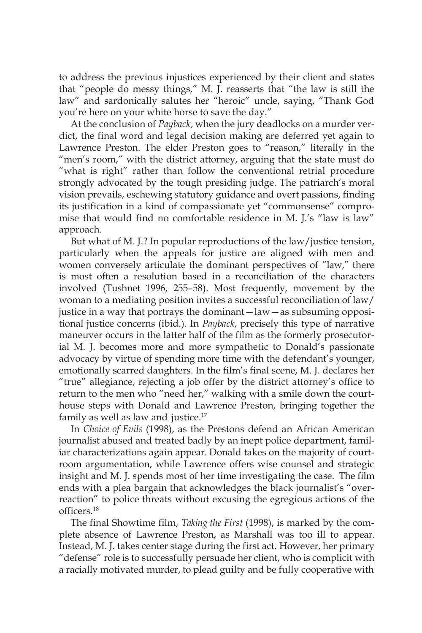to address the previous injustices experienced by their client and states that "people do messy things," M. J. reasserts that "the law is still the law" and sardonically salutes her "heroic" uncle, saying, "Thank God you're here on your white horse to save the day."

At the conclusion of *Payback*, when the jury deadlocks on a murder verdict, the final word and legal decision making are deferred yet again to Lawrence Preston. The elder Preston goes to "reason," literally in the "men's room," with the district attorney, arguing that the state must do "what is right" rather than follow the conventional retrial procedure strongly advocated by the tough presiding judge. The patriarch's moral vision prevails, eschewing statutory guidance and overt passions, finding its justification in a kind of compassionate yet "commonsense" compromise that would find no comfortable residence in M. J.'s "law is law" approach.

But what of M. J.? In popular reproductions of the law/justice tension, particularly when the appeals for justice are aligned with men and women conversely articulate the dominant perspectives of "law," there is most often a resolution based in a reconciliation of the characters involved (Tushnet 1996, 255–58). Most frequently, movement by the woman to a mediating position invites a successful reconciliation of law/ justice in a way that portrays the dominant—law—as subsuming oppositional justice concerns (ibid.). In *Payback*, precisely this type of narrative maneuver occurs in the latter half of the film as the formerly prosecutorial M. J. becomes more and more sympathetic to Donald's passionate advocacy by virtue of spending more time with the defendant's younger, emotionally scarred daughters. In the film's final scene, M. J. declares her "true" allegiance, rejecting a job offer by the district attorney's office to return to the men who "need her," walking with a smile down the courthouse steps with Donald and Lawrence Preston, bringing together the family as well as law and justice. $17$ 

In *Choice of Evils* (1998), as the Prestons defend an African American journalist abused and treated badly by an inept police department, familiar characterizations again appear. Donald takes on the majority of courtroom argumentation, while Lawrence offers wise counsel and strategic insight and M. J. spends most of her time investigating the case. The film ends with a plea bargain that acknowledges the black journalist's "overreaction" to police threats without excusing the egregious actions of the officers.<sup>18</sup>

The final Showtime film, *Taking the First* (1998), is marked by the complete absence of Lawrence Preston, as Marshall was too ill to appear. Instead, M. J. takes center stage during the first act. However, her primary "defense" role is to successfully persuade her client, who is complicit with a racially motivated murder, to plead guilty and be fully cooperative with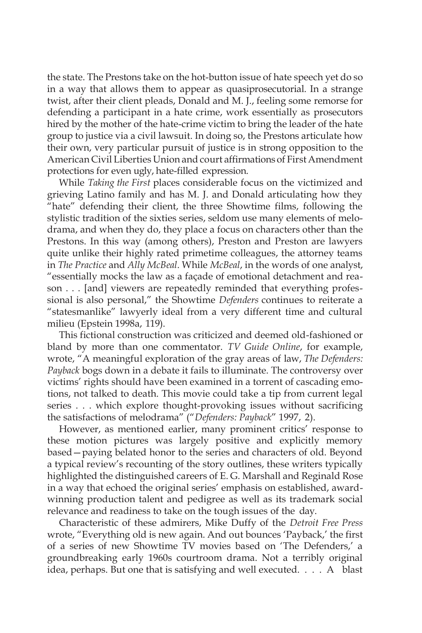the state. The Prestons take on the hot-button issue of hate speech yet do so in a way that allows them to appear as quasiprosecutorial. In a strange twist, after their client pleads, Donald and M. J., feeling some remorse for defending a participant in a hate crime, work essentially as prosecutors hired by the mother of the hate-crime victim to bring the leader of the hate group to justice via a civil lawsuit. In doing so, the Prestons articulate how their own, very particular pursuit of justice is in strong opposition to the American Civil Liberties Union and court affirmations of First Amendment protections for even ugly, hate-filled expression.

While *Taking the First* places considerable focus on the victimized and grieving Latino family and has M. J. and Donald articulating how they "hate" defending their client, the three Showtime films, following the stylistic tradition of the sixties series, seldom use many elements of melodrama, and when they do, they place a focus on characters other than the Prestons. In this way (among others), Preston and Preston are lawyers quite unlike their highly rated primetime colleagues, the attorney teams in *The Practice* and *Ally McBeal*. While *McBeal*, in the words of one analyst, "essentially mocks the law as a façade of emotional detachment and reason . . . [and] viewers are repeatedly reminded that everything professional is also personal," the Showtime *Defenders* continues to reiterate a "statesmanlike" lawyerly ideal from a very different time and cultural milieu (Epstein 1998a, 119).

This fictional construction was criticized and deemed old-fashioned or bland by more than one commentator. *TV Guide Online*, for example, wrote, "A meaningful exploration of the gray areas of law, *The Defenders: Payback* bogs down in a debate it fails to illuminate. The controversy over victims' rights should have been examined in a torrent of cascading emotions, not talked to death. This movie could take a tip from current legal series . . . which explore thought-provoking issues without sacrificing the satisfactions of melodrama" ("*Defenders: Payback*" 1997, 2).

However, as mentioned earlier, many prominent critics' response to these motion pictures was largely positive and explicitly memory based—paying belated honor to the series and characters of old. Beyond a typical review's recounting of the story outlines, these writers typically highlighted the distinguished careers of E. G. Marshall and Reginald Rose in a way that echoed the original series' emphasis on established, awardwinning production talent and pedigree as well as its trademark social relevance and readiness to take on the tough issues of the day.

Characteristic of these admirers, Mike Duffy of the *Detroit Free Press*  wrote, "Everything old is new again. And out bounces 'Payback,' the first of a series of new Showtime TV movies based on 'The Defenders,' a groundbreaking early 1960s courtroom drama. Not a terribly original idea, perhaps. But one that is satisfying and well executed. . . . A blast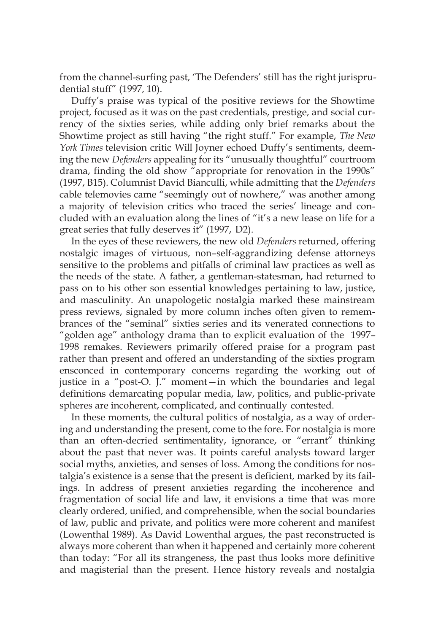from the channel-surfing past, 'The Defenders' still has the right jurisprudential stuff" (1997, 10).

Duffy's praise was typical of the positive reviews for the Showtime project, focused as it was on the past credentials, prestige, and social currency of the sixties series, while adding only brief remarks about the Showtime project as still having "the right stuff." For example, *The New York Times* television critic Will Joyner echoed Duffy's sentiments, deeming the new *Defenders* appealing for its "unusually thoughtful" courtroom drama, finding the old show "appropriate for renovation in the 1990s" (1997, B15). Columnist David Bianculli, while admitting that the *Defenders*  cable telemovies came "seemingly out of nowhere," was another among a majority of television critics who traced the series' lineage and concluded with an evaluation along the lines of "it's a new lease on life for a great series that fully deserves it" (1997, D2).

In the eyes of these reviewers, the new old *Defenders* returned, offering nostalgic images of virtuous, non–self-aggrandizing defense attorneys sensitive to the problems and pitfalls of criminal law practices as well as the needs of the state. A father, a gentleman-statesman, had returned to pass on to his other son essential knowledges pertaining to law, justice, and masculinity. An unapologetic nostalgia marked these mainstream press reviews, signaled by more column inches often given to remembrances of the "seminal" sixties series and its venerated connections to "golden age" anthology drama than to explicit evaluation of the 1997– 1998 remakes. Reviewers primarily offered praise for a program past rather than present and offered an understanding of the sixties program ensconced in contemporary concerns regarding the working out of justice in a "post-O. J." moment—in which the boundaries and legal definitions demarcating popular media, law, politics, and public-private spheres are incoherent, complicated, and continually contested.

In these moments, the cultural politics of nostalgia, as a way of ordering and understanding the present, come to the fore. For nostalgia is more than an often-decried sentimentality, ignorance, or "errant" thinking about the past that never was. It points careful analysts toward larger social myths, anxieties, and senses of loss. Among the conditions for nostalgia's existence is a sense that the present is deficient, marked by its failings. In address of present anxieties regarding the incoherence and fragmentation of social life and law, it envisions a time that was more clearly ordered, unified, and comprehensible, when the social boundaries of law, public and private, and politics were more coherent and manifest (Lowenthal 1989). As David Lowenthal argues, the past reconstructed is always more coherent than when it happened and certainly more coherent than today: "For all its strangeness, the past thus looks more definitive and magisterial than the present. Hence history reveals and nostalgia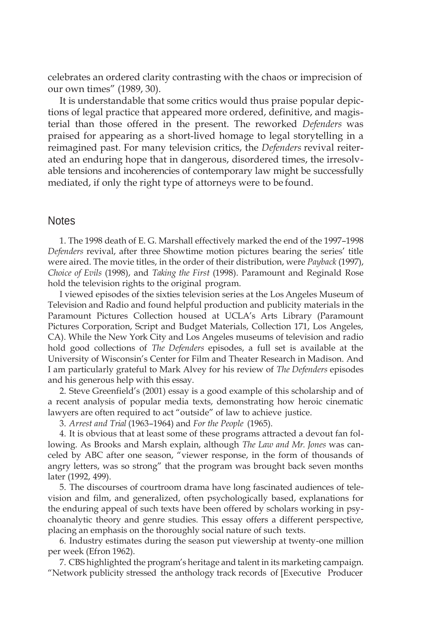celebrates an ordered clarity contrasting with the chaos or imprecision of our own times" (1989, 30).

It is understandable that some critics would thus praise popular depictions of legal practice that appeared more ordered, definitive, and magisterial than those offered in the present. The reworked *Defenders* was praised for appearing as a short-lived homage to legal storytelling in a reimagined past. For many television critics, the *Defenders* revival reiterated an enduring hope that in dangerous, disordered times, the irresolvable tensions and incoherencies of contemporary law might be successfully mediated, if only the right type of attorneys were to be found.

#### **Notes**

1. The 1998 death of E. G. Marshall effectively marked the end of the 1997–1998 *Defenders* revival, after three Showtime motion pictures bearing the series' title were aired. The movie titles, in the order of their distribution, were *Payback* (1997), *Choice of Evils* (1998), and *Taking the First* (1998). Paramount and Reginald Rose hold the television rights to the original program.

I viewed episodes of the sixties television series at the Los Angeles Museum of Television and Radio and found helpful production and publicity materials in the Paramount Pictures Collection housed at UCLA's Arts Library (Paramount Pictures Corporation, Script and Budget Materials, Collection 171, Los Angeles, CA). While the New York City and Los Angeles museums of television and radio hold good collections of *The Defenders* episodes, a full set is available at the University of Wisconsin's Center for Film and Theater Research in Madison. And I am particularly grateful to Mark Alvey for his review of *The Defenders* episodes and his generous help with this essay.

2. Steve Greenfield's (2001) essay is a good example of this scholarship and of a recent analysis of popular media texts, demonstrating how heroic cinematic lawyers are often required to act "outside" of law to achieve justice.

3. *Arrest and Trial* (1963–1964) and *For the People* (1965).

4. It is obvious that at least some of these programs attracted a devout fan following. As Brooks and Marsh explain, although *The Law and Mr. Jones* was canceled by ABC after one season, "viewer response, in the form of thousands of angry letters, was so strong" that the program was brought back seven months later (1992, 499).

5. The discourses of courtroom drama have long fascinated audiences of television and film, and generalized, often psychologically based, explanations for the enduring appeal of such texts have been offered by scholars working in psychoanalytic theory and genre studies. This essay offers a different perspective, placing an emphasis on the thoroughly social nature of such texts.

6. Industry estimates during the season put viewership at twenty-one million per week (Efron 1962).

7. CBS highlighted the program's heritage and talent in its marketing campaign. "Network publicity stressed the anthology track records of [Executive Producer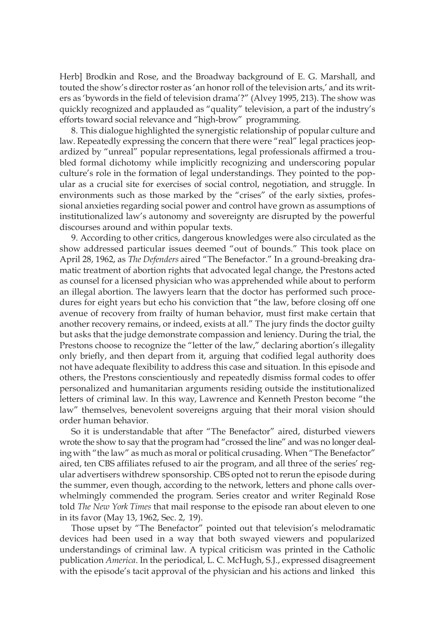Herb] Brodkin and Rose, and the Broadway background of E. G. Marshall, and touted the show's director roster as 'an honor roll of the television arts,' and its writers as 'bywords in the field of television drama'?" (Alvey 1995, 213). The show was quickly recognized and applauded as "quality" television, a part of the industry's efforts toward social relevance and "high-brow" programming.

8. This dialogue highlighted the synergistic relationship of popular culture and law. Repeatedly expressing the concern that there were "real" legal practices jeopardized by "unreal" popular representations, legal professionals affirmed a troubled formal dichotomy while implicitly recognizing and underscoring popular culture's role in the formation of legal understandings. They pointed to the popular as a crucial site for exercises of social control, negotiation, and struggle. In environments such as those marked by the "crises" of the early sixties, professional anxieties regarding social power and control have grown as assumptions of institutionalized law's autonomy and sovereignty are disrupted by the powerful discourses around and within popular texts.

9. According to other critics, dangerous knowledges were also circulated as the show addressed particular issues deemed "out of bounds." This took place on April 28, 1962, as *The Defenders* aired "The Benefactor." In a ground-breaking dramatic treatment of abortion rights that advocated legal change, the Prestons acted as counsel for a licensed physician who was apprehended while about to perform an illegal abortion. The lawyers learn that the doctor has performed such procedures for eight years but echo his conviction that "the law, before closing off one avenue of recovery from frailty of human behavior, must first make certain that another recovery remains, or indeed, exists at all." The jury finds the doctor guilty but asks that the judge demonstrate compassion and leniency. During the trial, the Prestons choose to recognize the "letter of the law," declaring abortion's illegality only briefly, and then depart from it, arguing that codified legal authority does not have adequate flexibility to address this case and situation. In this episode and others, the Prestons conscientiously and repeatedly dismiss formal codes to offer personalized and humanitarian arguments residing outside the institutionalized letters of criminal law. In this way, Lawrence and Kenneth Preston become "the law" themselves, benevolent sovereigns arguing that their moral vision should order human behavior.

So it is understandable that after "The Benefactor" aired, disturbed viewers wrote the show to say that the program had "crossed the line" and was no longer dealingwith "the law" as much as moral or political crusading. When "The Benefactor" aired, ten CBS affiliates refused to air the program, and all three of the series' regular advertisers withdrew sponsorship. CBS opted not to rerun the episode during the summer, even though, according to the network, letters and phone calls overwhelmingly commended the program. Series creator and writer Reginald Rose told *The New York Times* that mail response to the episode ran about eleven to one in its favor (May 13, 1962, Sec. 2, 19).

Those upset by "The Benefactor" pointed out that television's melodramatic devices had been used in a way that both swayed viewers and popularized understandings of criminal law. A typical criticism was printed in the Catholic publication *America*. In the periodical, L. C. McHugh, S.J., expressed disagreement with the episode's tacit approval of the physician and his actions and linked this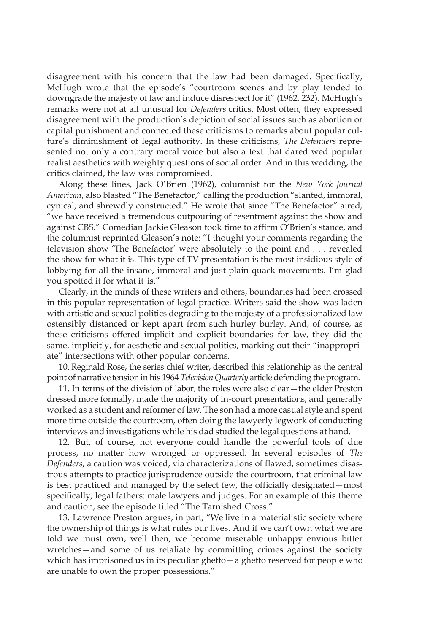disagreement with his concern that the law had been damaged. Specifically, McHugh wrote that the episode's "courtroom scenes and by play tended to downgrade the majesty of law and induce disrespect for it" (1962, 232). McHugh's remarks were not at all unusual for *Defenders* critics. Most often, they expressed disagreement with the production's depiction of social issues such as abortion or capital punishment and connected these criticisms to remarks about popular culture's diminishment of legal authority. In these criticisms, *The Defenders* represented not only a contrary moral voice but also a text that dared wed popular realist aesthetics with weighty questions of social order. And in this wedding, the critics claimed, the law was compromised.

Along these lines, Jack O'Brien (1962), columnist for the *New York Journal American*, also blasted "The Benefactor," calling the production "slanted, immoral, cynical, and shrewdly constructed." He wrote that since "The Benefactor" aired, "we have received a tremendous outpouring of resentment against the show and against CBS." Comedian Jackie Gleason took time to affirm O'Brien's stance, and the columnist reprinted Gleason's note: "I thought your comments regarding the television show 'The Benefactor' were absolutely to the point and . . . revealed the show for what it is. This type of TV presentation is the most insidious style of lobbying for all the insane, immoral and just plain quack movements. I'm glad you spotted it for what it is."

Clearly, in the minds of these writers and others, boundaries had been crossed in this popular representation of legal practice. Writers said the show was laden with artistic and sexual politics degrading to the majesty of a professionalized law ostensibly distanced or kept apart from such hurley burley. And, of course, as these criticisms offered implicit and explicit boundaries for law, they did the same, implicitly, for aesthetic and sexual politics, marking out their "inappropriate" intersections with other popular concerns.

10. Reginald Rose, the series chief writer, described this relationship as the central point of narrative tension in his 1964 *TelevisionQuarterly* article defending the program.

11. In terms of the division of labor, the roles were also clear—the elder Preston dressed more formally, made the majority of in-court presentations, and generally worked as a student and reformer of law.The son had a more casual style and spent more time outside the courtroom, often doing the lawyerly legwork of conducting interviews and investigations while his dad studied the legal questions at hand.

12. But, of course, not everyone could handle the powerful tools of due process, no matter how wronged or oppressed. In several episodes of *The Defenders*, a caution was voiced, via characterizations of flawed, sometimes disastrous attempts to practice jurisprudence outside the courtroom, that criminal law is best practiced and managed by the select few, the officially designated—most specifically, legal fathers: male lawyers and judges. For an example of this theme and caution, see the episode titled "The Tarnished Cross."

13. Lawrence Preston argues, in part, "We live in a materialistic society where the ownership of things is what rules our lives. And if we can't own what we are told we must own, well then, we become miserable unhappy envious bitter wretches—and some of us retaliate by committing crimes against the society which has imprisoned us in its peculiar ghetto —a ghetto reserved for people who are unable to own the proper possessions."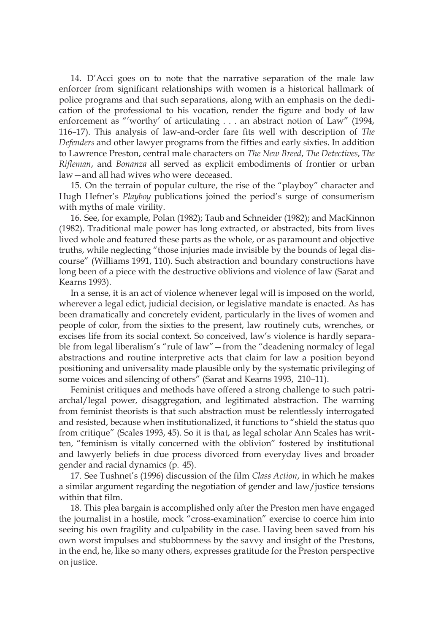14. D'Acci goes on to note that the narrative separation of the male law enforcer from significant relationships with women is a historical hallmark of police programs and that such separations, along with an emphasis on the dedication of the professional to his vocation, render the figure and body of law enforcement as "'worthy' of articulating . . . an abstract notion of Law" (1994, 116–17). This analysis of law-and-order fare fits well with description of *The Defenders* and other lawyer programs from the fifties and early sixties. In addition to Lawrence Preston, central male characters on *The New Breed*, *The Detectives*, *The Rifleman*, and *Bonanza* all served as explicit embodiments of frontier or urban law—and all had wives who were deceased.

15. On the terrain of popular culture, the rise of the "playboy" character and Hugh Hefner's *Playboy* publications joined the period's surge of consumerism with myths of male virility.

16. See, for example, Polan (1982); Taub and Schneider (1982); and MacKinnon (1982). Traditional male power has long extracted, or abstracted, bits from lives lived whole and featured these parts as the whole, or as paramount and objective truths, while neglecting "those injuries made invisible by the bounds of legal discourse" (Williams 1991, 110). Such abstraction and boundary constructions have long been of a piece with the destructive oblivions and violence of law (Sarat and Kearns 1993).

In a sense, it is an act of violence whenever legal will is imposed on the world, wherever a legal edict, judicial decision, or legislative mandate is enacted. As has been dramatically and concretely evident, particularly in the lives of women and people of color, from the sixties to the present, law routinely cuts, wrenches, or excises life from its social context. So conceived, law's violence is hardly separable from legal liberalism's "rule of law"—from the "deadening normalcy of legal abstractions and routine interpretive acts that claim for law a position beyond positioning and universality made plausible only by the systematic privileging of some voices and silencing of others" (Sarat and Kearns 1993, 210–11).

Feminist critiques and methods have offered a strong challenge to such patriarchal/legal power, disaggregation, and legitimated abstraction. The warning from feminist theorists is that such abstraction must be relentlessly interrogated and resisted, because when institutionalized, it functions to "shield the status quo from critique" (Scales 1993, 45). So it is that, as legal scholar Ann Scales has written, "feminism is vitally concerned with the oblivion" fostered by institutional and lawyerly beliefs in due process divorced from everyday lives and broader gender and racial dynamics (p. 45).

17. See Tushnet's (1996) discussion of the film *Class Action*, in which he makes a similar argument regarding the negotiation of gender and law/justice tensions within that film.

18. This plea bargain is accomplished only after the Preston men have engaged the journalist in a hostile, mock "cross-examination" exercise to coerce him into seeing his own fragility and culpability in the case. Having been saved from his own worst impulses and stubbornness by the savvy and insight of the Prestons, in the end, he, like so many others, expresses gratitude for the Preston perspective on justice.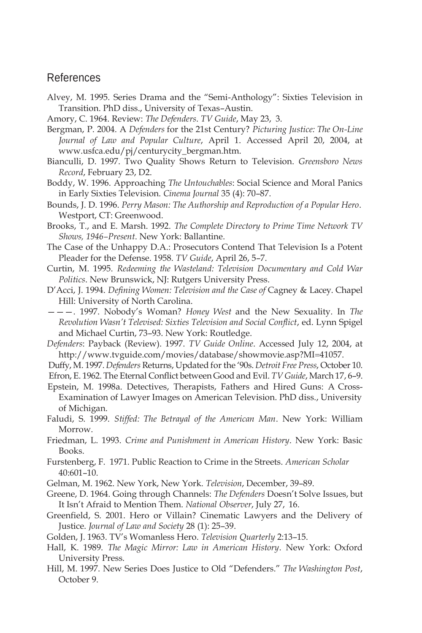#### References

- Alvey, M. 1995. Series Drama and the "Semi-Anthology": Sixties Television in Transition. PhD diss., University of Texas–Austin.
- Amory, C. 1964. Review: *The Defenders*. *TV Guide*, May 23, 3.
- Bergman, P. 2004. A *Defenders* for the 21st Century? *Picturing Justice: The On-Line Journal of Law and Popular Culture*, April 1. Accessed April 20, 2004, at [www.usfca.edu/pj/centurycity\\_bergman.htm.](http://www.usfca.edu/pj/centurycity_bergman.htm)
- Bianculli, D. 1997. Two Quality Shows Return to Television. *Greensboro News Record*, February 23, D2.
- Boddy, W. 1996. Approaching *The Untouchables*: Social Science and Moral Panics in Early Sixties Television. *Cinema Journal* 35 (4): 70–87.
- Bounds, J. D. 1996. *Perry Mason: The Authorship and Reproduction of a Popular Hero*. Westport, CT: Greenwood.
- Brooks, T., and E. Marsh. 1992. *The Complete Directory to Prime Time Network TV Shows, 1946–Present*. New York: Ballantine.
- The Case of the Unhappy D.A.: Prosecutors Contend That Television Is a Potent Pleader for the Defense. 1958. *TV Guide*, April 26, 5–7.
- Curtin, M. 1995. *Redeeming the Wasteland: Television Documentary and Cold War Politics*. New Brunswick, NJ: Rutgers University Press.
- D'Acci, J. 1994. *Defining Women: Television and the Case of* Cagney & Lacey. Chapel Hill: University of North Carolina.
- ———. 1997. Nobody's Woman? *Honey West* and the New Sexuality. In *The Revolution Wasn't Televised: Sixties Television and Social Conflict*, ed. Lynn Spigel and Michael Curtin, 73–93. New York: Routledge.
- *Defenders*: Payback (Review). 1997. *TV Guide Online*. Accessed July 12, 2004, at <http://www.tvguide.com/movies/database/showmovie.asp?MI>=41057.
- Duffy, M. 1997. *Defenders* Returns, Updated for the '90s. *Detroit Free Press*, October 10.

Efron, E. 1962. The Eternal Conflict between Good and Evil. *TV Guide*, March 17, 6–9.

- Epstein, M. 1998a. Detectives, Therapists, Fathers and Hired Guns: A Cross-Examination of Lawyer Images on American Television. PhD diss., University of Michigan.
- Faludi, S. 1999. *Stiffed: The Betrayal of the American Man*. New York: William Morrow.
- Friedman, L. 1993. *Crime and Punishment in American History*. New York: Basic Books.
- Furstenberg, F. 1971. Public Reaction to Crime in the Streets. *American Scholar* 40:601–10.
- Gelman, M. 1962. New York, New York. *Television*, December, 39–89.
- Greene, D. 1964. Going through Channels: *The Defenders* Doesn't Solve Issues, but It Isn't Afraid to Mention Them. *National Observer*, July 27, 16.
- Greenfield, S. 2001. Hero or Villain? Cinematic Lawyers and the Delivery of Justice. *Journal of Law and Society* 28 (1): 25–39.
- Golden, J. 1963. TV's Womanless Hero. *Television Quarterly* 2:13–15.
- Hall, K. 1989. *The Magic Mirror: Law in American History*. New York: Oxford University Press.
- Hill, M. 1997. New Series Does Justice to Old "Defenders." *The Washington Post*, October 9.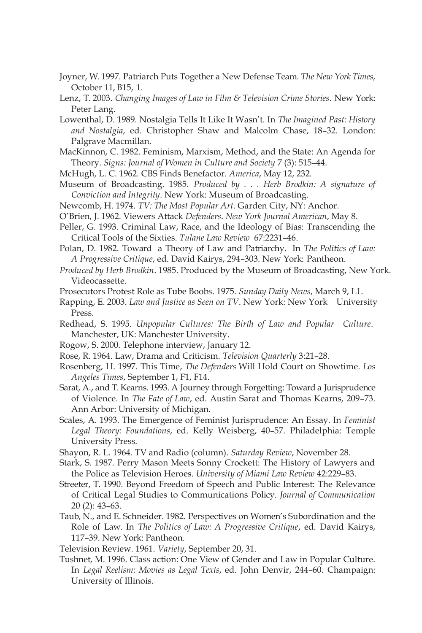- Joyner, W. 1997. Patriarch Puts Together a New Defense Team. *The New York Times*, October 11, B15, 1.
- Lenz, T. 2003. *Changing Images of Law in Film & Television Crime Stories*. New York: Peter Lang.
- Lowenthal, D. 1989. Nostalgia Tells It Like It Wasn't. In *The Imagined Past: History and Nostalgia*, ed. Christopher Shaw and Malcolm Chase, 18–32. London: Palgrave Macmillan.
- MacKinnon, C. 1982. Feminism, Marxism, Method, and the State: An Agenda for Theory. *Signs: Journal of Women in Culture and Society* 7 (3): 515–44.
- McHugh, L. C. 1962. CBS Finds Benefactor. *America*, May 12, 232.
- Museum of Broadcasting. 1985. *Produced by . . . Herb Brodkin: A signature of Conviction and Integrity*. New York: Museum of Broadcasting.
- Newcomb, H. 1974. *TV: The Most Popular Art*. Garden City, NY: Anchor.
- O'Brien, J. 1962. Viewers Attack *Defenders*. *New York Journal American*, May 8.
- Peller, G. 1993. Criminal Law, Race, and the Ideology of Bias: Transcending the Critical Tools of the Sixties. *Tulane Law Review* 67:2231–46.
- Polan, D. 1982. Toward a Theory of Law and Patriarchy. In *The Politics of Law: A Progressive Critique*, ed. David Kairys, 294–303. New York: Pantheon.
- *Produced by Herb Brodkin*. 1985. Produced by the Museum of Broadcasting, New York. Videocassette.
- Prosecutors Protest Role as Tube Boobs. 1975. *Sunday Daily News*, March 9, L1.
- Rapping, E. 2003. *Law and Justice as Seen on TV*. New York: New York University Press.
- Redhead, S. 1995. *Unpopular Cultures: The Birth of Law and Popular Culture*. Manchester, UK: Manchester University.
- Rogow, S. 2000. Telephone interview, January 12.
- Rose, R. 1964. Law, Drama and Criticism. *Television Quarterly* 3:21–28.

Rosenberg, H. 1997. This Time, *The Defenders* Will Hold Court on Showtime. *Los Angeles Times*, September 1, F1, F14.

- Sarat, A., and T. Kearns. 1993. A Journey through Forgetting: Toward a Jurisprudence of Violence. In *The Fate of Law*, ed. Austin Sarat and Thomas Kearns, 209–73. Ann Arbor: University of Michigan.
- Scales, A. 1993. The Emergence of Feminist Jurisprudence: An Essay. In *Feminist Legal Theory: Foundations*, ed. Kelly Weisberg, 40–57. Philadelphia: Temple University Press.
- Shayon, R. L. 1964. TV and Radio (column). *Saturday Review*, November 28.
- Stark, S. 1987. Perry Mason Meets Sonny Crockett: The History of Lawyers and the Police as Television Heroes. *University of Miami Law Review* 42:229–83.
- Streeter, T. 1990. Beyond Freedom of Speech and Public Interest: The Relevance of Critical Legal Studies to Communications Policy. *Journal of Communication*  20 (2): 43–63.
- Taub, N., and E. Schneider. 1982. Perspectives on Women's Subordination and the Role of Law. In *The Politics of Law: A Progressive Critique*, ed. David Kairys, 117–39. New York: Pantheon.
- Television Review. 1961. *Variety*, September 20, 31.
- Tushnet, M. 1996. Class action: One View of Gender and Law in Popular Culture. In *Legal Reelism: Movies as Legal Texts*, ed. John Denvir, 244–60. Champaign: University of Illinois.